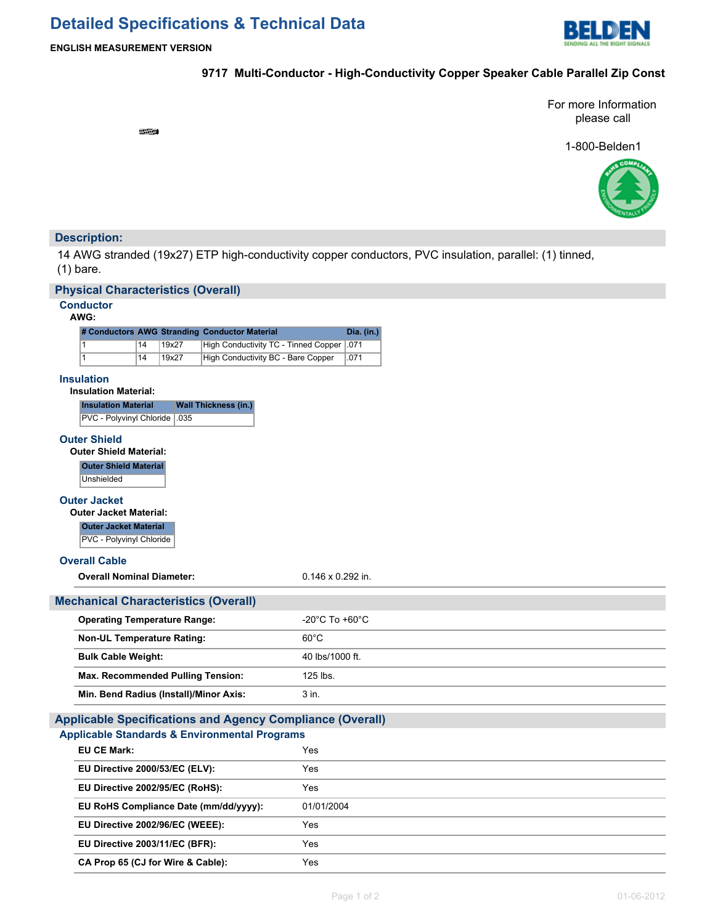# **Detailed Specifications & Technical Data**



## **9717 Multi-Conductor - High-Conductivity Copper Speaker Cable Parallel Zip Const**

For more Information please call

1-800-Belden1



# **Description:**

14 AWG stranded (19x27) ETP high-conductivity copper conductors, PVC insulation, parallel: (1) tinned, (1) bare.

### **Physical Characteristics (Overall)**

# **Conductor**

### **AWG:**

|  |    |       | # Conductors AWG Stranding Conductor Material | Dia. (in.) |
|--|----|-------|-----------------------------------------------|------------|
|  | 14 | 19x27 | High Conductivity TC - Tinned Copper   .071   |            |
|  | 14 | 19x27 | High Conductivity BC - Bare Copper            | .071       |

### **Insulation**

| <b>Insulation Material</b>     | <b>Wall Thickness (in.)</b> |
|--------------------------------|-----------------------------|
| PVC - Polyvinyl Chloride   035 |                             |
|                                |                             |

### **Outer Shield**

**Outer Shield Material:**

**Outer Shield Material Unshielded** 

### **Outer Jacket**

**Outer Jacket Material:**

# **Outer Jacket Material**

PVC - Polyvinyl Chloride

### **Overall Cable**

| <b>Overall Nominal Diameter:</b> | 0.146 x 0.292 in. |
|----------------------------------|-------------------|
|                                  |                   |

| <b>Mechanical Characteristics (Overall)</b> |                                    |
|---------------------------------------------|------------------------------------|
| <b>Operating Temperature Range:</b>         | $-20^{\circ}$ C To $+60^{\circ}$ C |
| <b>Non-UL Temperature Rating:</b>           | $60^{\circ}$ C                     |
| <b>Bulk Cable Weight:</b>                   | 40 lbs/1000 ft.                    |
| Max. Recommended Pulling Tension:           | $125$ lbs.                         |
| Min. Bend Radius (Install)/Minor Axis:      | 3 in.                              |

# **Applicable Specifications and Agency Compliance (Overall)**

## **Applicable Standards & Environmental Programs**

| EU CE Mark:                           | Yes        |
|---------------------------------------|------------|
| EU Directive 2000/53/EC (ELV):        | Yes        |
| EU Directive 2002/95/EC (RoHS):       | Yes        |
| EU RoHS Compliance Date (mm/dd/yyyy): | 01/01/2004 |
| EU Directive 2002/96/EC (WEEE):       | Yes        |
| EU Directive 2003/11/EC (BFR):        | Yes        |
| CA Prop 65 (CJ for Wire & Cable):     | Yes        |